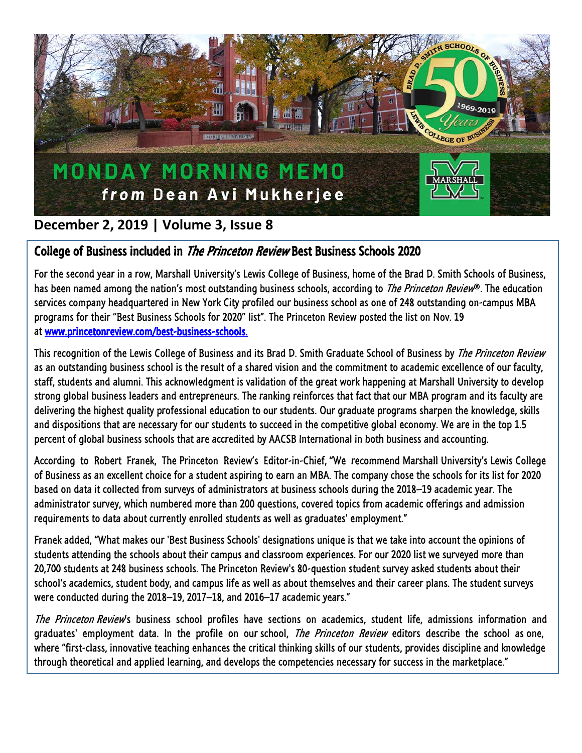

## **December 2, 2019 | Volume 3, Issue 8**

## College of Business included in The Princeton Review Best Business Schools 2020

For the second year in a row, Marshall University's Lewis College of Business, home of the Brad D. Smith Schools of Business, has been named among the nation's most outstanding business schools, according to *The Princeton Review*®. The education services company headquartered in New York City profiled our business school as one of 248 outstanding on-campus MBA programs for their "Best Business Schools for 2020" list". The Princeton Review posted the list on Nov. 19 at [www.princetonreview.com/best-business-schools.](https://nam10.safelinks.protection.outlook.com/?url=https%3A%2F%2Flinkprotect.cudasvc.com%2Furl%3Fa%3Dhttps%253a%252f%252fwww.princetonreview.com%252fbest-business-schools%26c%3DE%2C1%2C0SBLz25hgOeHJ6gGzBktJxJD0eyS1yuvQDrvRMTCaP7tAxxxpMOxDWgODUGpcXxs35VGSC1gL7G9g6W9cTj1VfEiIfzz0JBmjN5LtKdPRBU-DNs6QI1YOgzt%26typo%3D1&data=02%7C01%7Cjlj%40wvexecutive.com%7C89d17755b5a148505c9508d7728594bf%7C61d71b08538945dd80b2a09c827778f2%7C0%7C0%7C637103790375365381&sdata=2hS1asnrQp%2Fyvjqz0hxr9pQ2SnomfX8ixbJJ3QbRP7M%3D&reserved=0)

This recognition of the Lewis College of Business and its Brad D. Smith Graduate School of Business by *The Princeton Review* as an outstanding business school is the result of a shared vision and the commitment to academic excellence of our faculty, staff, students and alumni. This acknowledgment is validation of the great work happening at Marshall University to develop strong global business leaders and entrepreneurs. The ranking reinforces that fact that our MBA program and its faculty are delivering the highest quality professional education to our students. Our graduate programs sharpen the knowledge, skills and dispositions that are necessary for our students to succeed in the competitive global economy. We are in the top 1.5 percent of global business schools that are accredited by AACSB International in both business and accounting.

According to Robert Franek, The Princeton Review's Editor-in-Chief, "We recommend Marshall University's Lewis College of Business as an excellent choice for a student aspiring to earn an MBA. The company chose the schools for its list for 2020 based on data it collected from surveys of administrators at business schools during the 2018–19 academic year. The administrator survey, which numbered more than 200 questions, covered topics from academic offerings and admission requirements to data about currently enrolled students as well as graduates' employment."

Franek added, "What makes our 'Best Business Schools' designations unique is that we take into account the opinions of students attending the schools about their campus and classroom experiences. For our 2020 list we surveyed more than 20,700 students at 248 business schools. The Princeton Review's 80-question student survey asked students about their school's academics, student body, and campus life as well as about themselves and their career plans. The student surveys were conducted during the 2018–19, 2017–18, and 2016–17 academic years."

The Princeton Review's business school profiles have sections on academics, student life, admissions information and graduates' employment data. In the profile on our school, *The Princeton Review* editors describe the school as one, where "first-class, innovative teaching enhances the critical thinking skills of our students, provides discipline and knowledge through theoretical and applied learning, and develops the competencies necessary for success in the marketplace."